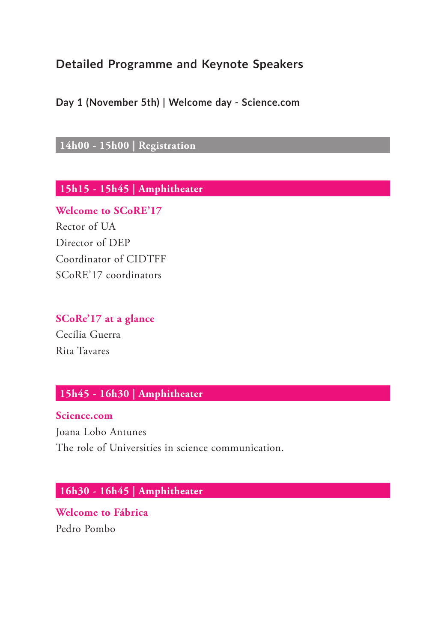# **Detailed Programme and Keynote Speakers**

**Day 1 (November 5th) | Welcome day - Science.com**

**14h00 - 15h00 | Registration**

**15h15 - 15h45 | Amphitheater**

**Welcome to SCoRE'17** Rector of UA Director of DEP Coordinator of CIDTFF SCoRE'17 coordinators

**SCoRe'17 at a glance** Cecília Guerra

Rita Tavares

### **15h45 - 16h30 | Amphitheater**

**Science.com**

Joana Lobo Antunes The role of Universities in science communication.

## **16h30 - 16h45 | Amphitheater**

**Welcome to Fábrica** Pedro Pombo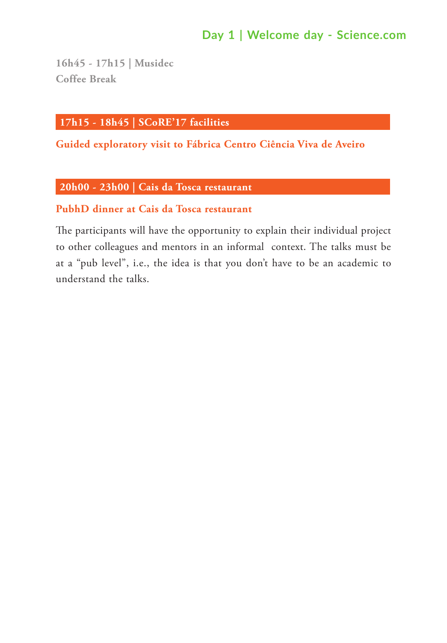# **Day 1 | Welcome day - Science.com**

**16h45 - 17h15 | Musidec Coffee Break**

### **17h15 - 18h45 | SCoRE'17 facilities**

**Guided exploratory visit to Fábrica Centro Ciência Viva de Aveiro**

### **20h00 - 23h00 | Cais da Tosca restaurant**

### **PubhD dinner at Cais da Tosca restaurant**

The participants will have the opportunity to explain their individual project to other colleagues and mentors in an informal context. The talks must be at a "pub level", i.e., the idea is that you don't have to be an academic to understand the talks.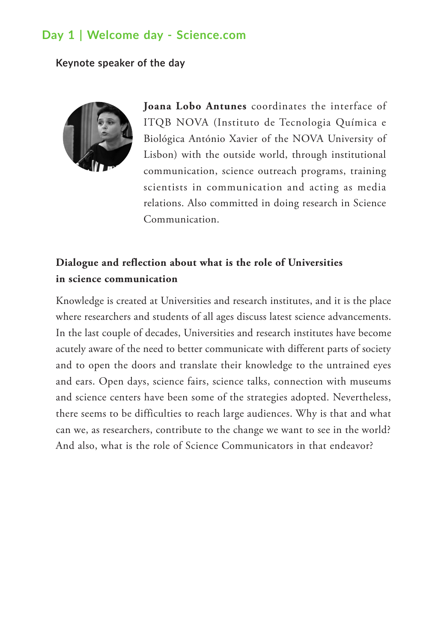# **Day 1 | Welcome day - Science.com**

#### **Keynote speaker of the day**



**Joana Lobo Antunes** coordinates the interface of ITQB NOVA (Instituto de Tecnologia Química e Biológica António Xavier of the NOVA University of Lisbon) with the outside world, through institutional communication, science outreach programs, training scientists in communication and acting as media relations. Also committed in doing research in Science Communication.

## **Dialogue and reflection about what is the role of Universities in science communication**

Knowledge is created at Universities and research institutes, and it is the place where researchers and students of all ages discuss latest science advancements. In the last couple of decades, Universities and research institutes have become acutely aware of the need to better communicate with different parts of society and to open the doors and translate their knowledge to the untrained eyes and ears. Open days, science fairs, science talks, connection with museums and science centers have been some of the strategies adopted. Nevertheless, there seems to be difficulties to reach large audiences. Why is that and what can we, as researchers, contribute to the change we want to see in the world? And also, what is the role of Science Communicators in that endeavor?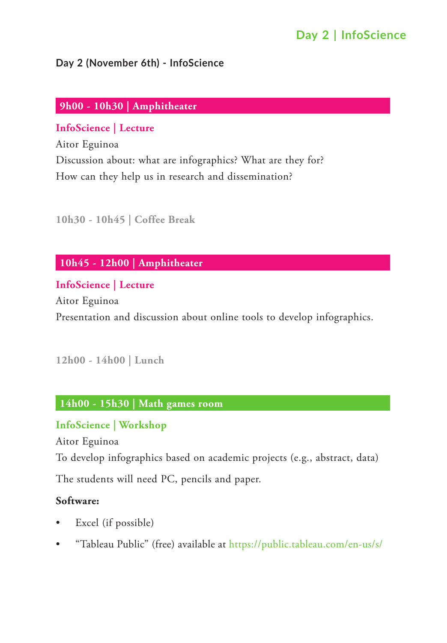### **Day 2 (November 6th) - InfoScience**

### **9h00 - 10h30 | Amphitheater**

## **InfoScience | Lecture**

Aitor Eguinoa Discussion about: what are infographics? What are they for? How can they help us in research and dissemination?

### **10h30 - 10h45 | Coffee Break**

## **10h45 - 12h00 | Amphitheater**

### **InfoScience | Lecture**

Aitor Eguinoa Presentation and discussion about online tools to develop infographics.

### **12h00 - 14h00 | Lunch**

### **14h00 - 15h30 | Math games room**

### **InfoScience | Workshop**

Aitor Eguinoa

To develop infographics based on academic projects (e.g., abstract, data)

The students will need PC, pencils and paper.

### **Software:**

- Excel (if possible)
- • "Tableau Public" (free) available at<https://public.tableau.com/en-us/s/>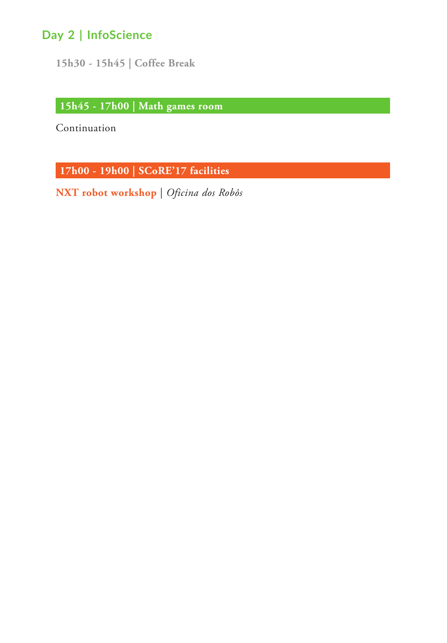**15h30 - 15h45 | Coffee Break**

**15h45 - 17h00 | Math games room**

Continuation

**17h00 - 19h00 | SCoRE'17 facilities**

**NXT robot workshop** | *Oficina dos Robôs*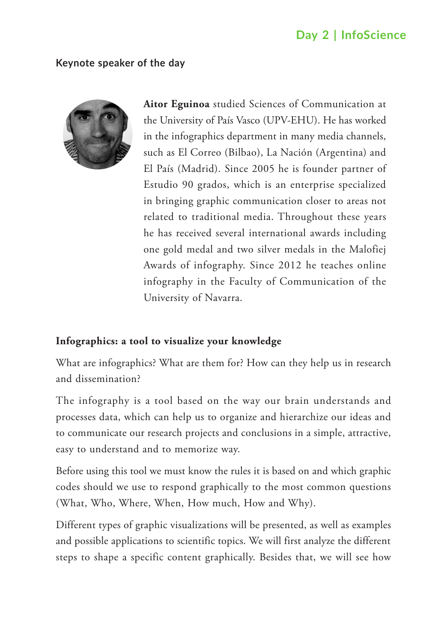#### **Keynote speaker of the day**



**Aitor Eguinoa** studied Sciences of Communication at the University of País Vasco (UPV-EHU). He has worked in the infographics department in many media channels, such as El Correo (Bilbao), La Nación (Argentina) and El País (Madrid). Since 2005 he is founder partner of Estudio 90 grados, which is an enterprise specialized in bringing graphic communication closer to areas not related to traditional media. Throughout these years he has received several international awards including one gold medal and two silver medals in the Malofiej Awards of infography. Since 2012 he teaches online infography in the Faculty of Communication of the University of Navarra.

### **Infographics: a tool to visualize your knowledge**

What are infographics? What are them for? How can they help us in research and dissemination?

The infography is a tool based on the way our brain understands and processes data, which can help us to organize and hierarchize our ideas and to communicate our research projects and conclusions in a simple, attractive, easy to understand and to memorize way.

Before using this tool we must know the rules it is based on and which graphic codes should we use to respond graphically to the most common questions (What, Who, Where, When, How much, How and Why).

Different types of graphic visualizations will be presented, as well as examples and possible applications to scientific topics. We will first analyze the different steps to shape a specific content graphically. Besides that, we will see how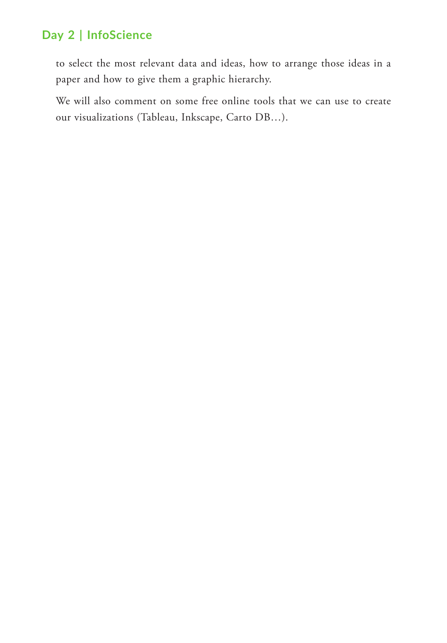to select the most relevant data and ideas, how to arrange those ideas in a paper and how to give them a graphic hierarchy.

We will also comment on some free online tools that we can use to create our visualizations (Tableau, Inkscape, Carto DB…).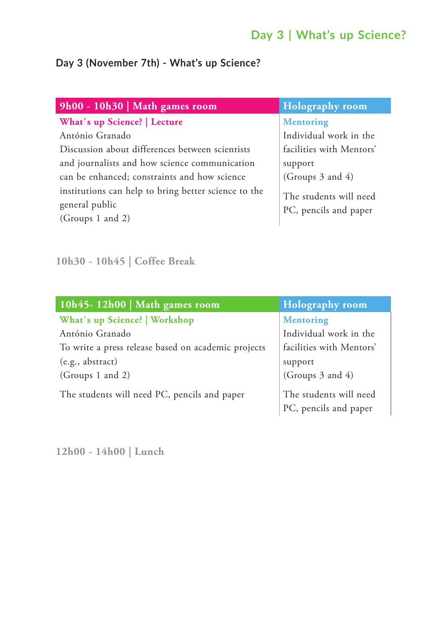# **Day 3 | What's up Science?**

## **Day 3 (November 7th) - What's up Science?**

| 9h00 - 10h30   Math games room                       | <b>Holography</b> room   |
|------------------------------------------------------|--------------------------|
| What's up Science?   Lecture                         | <b>Mentoring</b>         |
| António Granado                                      | Individual work in the   |
| Discussion about differences between scientists      | facilities with Mentors' |
| and journalists and how science communication        | support                  |
| can be enhanced; constraints and how science         | (Groups 3 and 4)         |
| institutions can help to bring better science to the | The students will need   |
| general public                                       | PC, pencils and paper    |
| (Groups 1 and 2)                                     |                          |

**10h30 - 10h45 | Coffee Break**

| 10h45-12h00   Math games room                       | <b>Holography room</b>                          |
|-----------------------------------------------------|-------------------------------------------------|
| What's up Science?   Workshop                       | <b>Mentoring</b>                                |
| António Granado                                     | Individual work in the                          |
| To write a press release based on academic projects | facilities with Mentors'                        |
| (e.g., abstract)                                    | support                                         |
| (Groups 1 and 2)                                    | (Groups $3$ and $4$ )                           |
| The students will need PC, pencils and paper        | The students will need<br>PC, pencils and paper |

**12h00 - 14h00 | Lunch**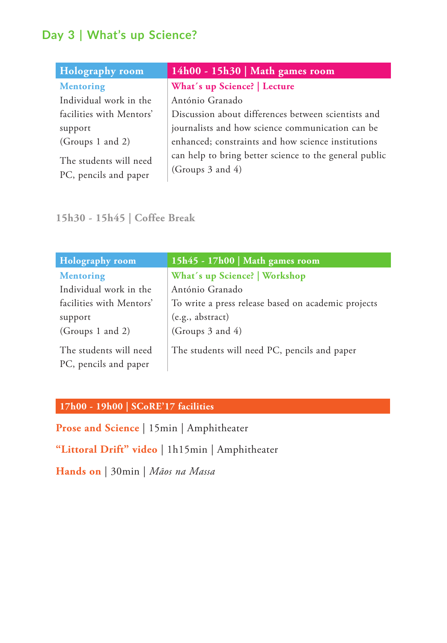# **Day 3 | What's up Science?**

| <b>Holography room</b>                          | 14h00 - 15h30   Math games room                                                 |
|-------------------------------------------------|---------------------------------------------------------------------------------|
| <b>Mentoring</b>                                | What's up Science?   Lecture                                                    |
| Individual work in the                          | António Granado                                                                 |
| facilities with Mentors'                        | Discussion about differences between scientists and                             |
| support                                         | journalists and how science communication can be                                |
| (Groups 1 and 2)                                | enhanced; constraints and how science institutions                              |
| The students will need<br>PC, pencils and paper | can help to bring better science to the general public<br>(Groups $3$ and $4$ ) |

## **15h30 - 15h45 | Coffee Break**

| <b>Holography</b> room                          | 15h45 - 17h00   Math games room                     |
|-------------------------------------------------|-----------------------------------------------------|
| <b>Mentoring</b>                                | What's up Science?   Workshop                       |
| Individual work in the                          | António Granado                                     |
| facilities with Mentors'                        | To write a press release based on academic projects |
| support                                         | (e.g., abstract)                                    |
| (Groups 1 and 2)                                | (Groups 3 and 4)                                    |
| The students will need<br>PC, pencils and paper | The students will need PC, pencils and paper        |

## **17h00 - 19h00 | SCoRE'17 facilities**

**Prose and Science** | 15min | Amphitheater

**"Littoral Drift" video** | 1h15min | Amphitheater

**Hands on** | 30min | *Mãos na Massa*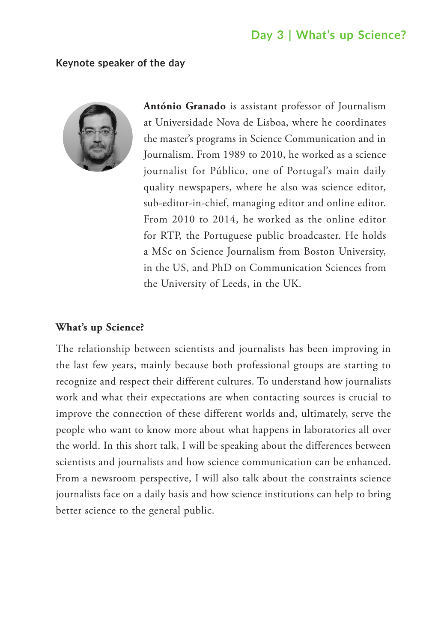## **Day 3 | What's up Science?**

#### **Keynote speaker of the day**



**António Granado** is assistant professor of Journalism at Universidade Nova de Lisboa, where he coordinates the master's programs in Science Communication and in Journalism. From 1989 to 2010, he worked as a science journalist for Público, one of Portugal's main daily quality newspapers, where he also was science editor, sub-editor-in-chief, managing editor and online editor. From 2010 to 2014, he worked as the online editor for RTP, the Portuguese public broadcaster. He holds a MSc on Science Journalism from Boston University, in the US, and PhD on Communication Sciences from the University of Leeds, in the UK.

#### **What's up Science?**

The relationship between scientists and journalists has been improving in the last few years, mainly because both professional groups are starting to recognize and respect their different cultures. To understand how journalists work and what their expectations are when contacting sources is crucial to improve the connection of these different worlds and, ultimately, serve the people who want to know more about what happens in laboratories all over the world. In this short talk, I will be speaking about the differences between scientists and journalists and how science communication can be enhanced. From a newsroom perspective, I will also talk about the constraints science journalists face on a daily basis and how science institutions can help to bring better science to the general public.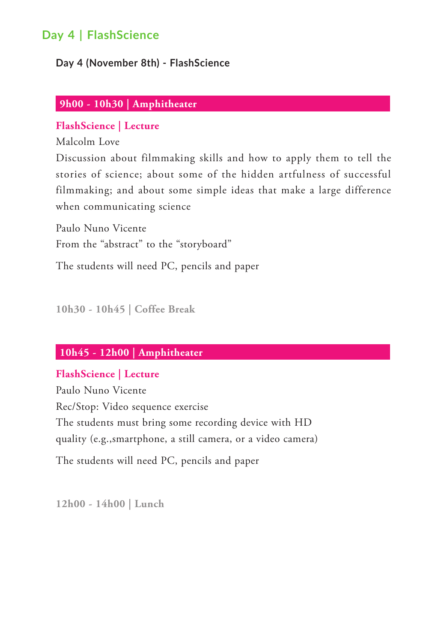### **Day 4 (November 8th) - FlashScience**

### **9h00 - 10h30 | Amphitheater**

### **FlashScience | Lecture**

Malcolm Love

Discussion about filmmaking skills and how to apply them to tell the stories of science; about some of the hidden artfulness of successful filmmaking; and about some simple ideas that make a large difference when communicating science

Paulo Nuno Vicente From the "abstract" to the "storyboard"

The students will need PC, pencils and paper

**10h30 - 10h45 | Coffee Break**

### **10h45 - 12h00 | Amphitheater**

### **FlashScience | Lecture**

Paulo Nuno Vicente Rec/Stop: Video sequence exercise The students must bring some recording device with HD quality (e.g.,smartphone, a still camera, or a video camera)

The students will need PC, pencils and paper

**12h00 - 14h00 | Lunch**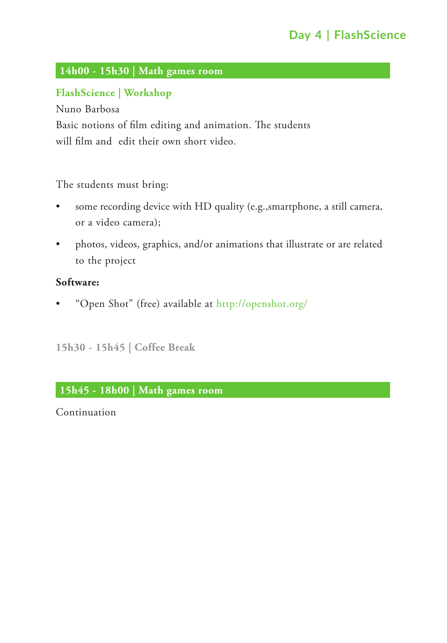# **14h00 - 15h30 | Math games room**

## **FlashScience | Workshop**

Nuno Barbosa Basic notions of film editing and animation. The students will film and edit their own short video.

The students must bring:

- • some recording device with HD quality (e.g.,smartphone, a still camera, or a video camera);
- photos, videos, graphics, and/or animations that illustrate or are related to the project

### **Software:**

• "Open Shot" (free) available at <http://openshot.org/>

**15h30 - 15h45 | Coffee Break**

### **15h45 - 18h00 | Math games room**

Continuation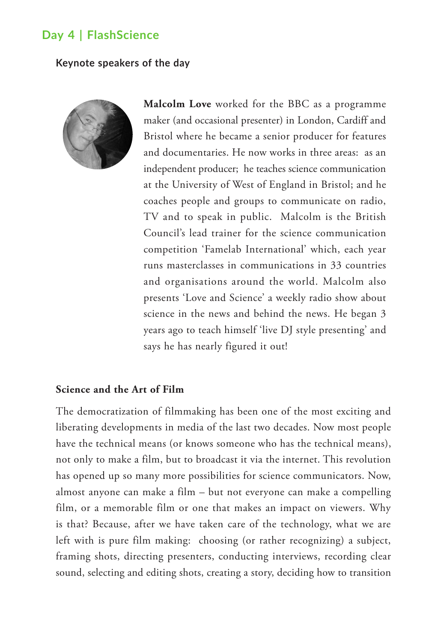#### **Keynote speakers of the day**



**Malcolm Love** worked for the BBC as a programme maker (and occasional presenter) in London, Cardiff and Bristol where he became a senior producer for features and documentaries. He now works in three areas: as an independent producer; he teaches science communication at the University of West of England in Bristol; and he coaches people and groups to communicate on radio, TV and to speak in public. Malcolm is the British Council's lead trainer for the science communication competition 'Famelab International' which, each year runs masterclasses in communications in 33 countries and organisations around the world. Malcolm also presents 'Love and Science' a weekly radio show about science in the news and behind the news. He began 3 years ago to teach himself 'live DJ style presenting' and says he has nearly figured it out!

### **Science and the Art of Film**

The democratization of filmmaking has been one of the most exciting and liberating developments in media of the last two decades. Now most people have the technical means (or knows someone who has the technical means), not only to make a film, but to broadcast it via the internet. This revolution has opened up so many more possibilities for science communicators. Now, almost anyone can make a film – but not everyone can make a compelling film, or a memorable film or one that makes an impact on viewers. Why is that? Because, after we have taken care of the technology, what we are left with is pure film making: choosing (or rather recognizing) a subject, framing shots, directing presenters, conducting interviews, recording clear sound, selecting and editing shots, creating a story, deciding how to transition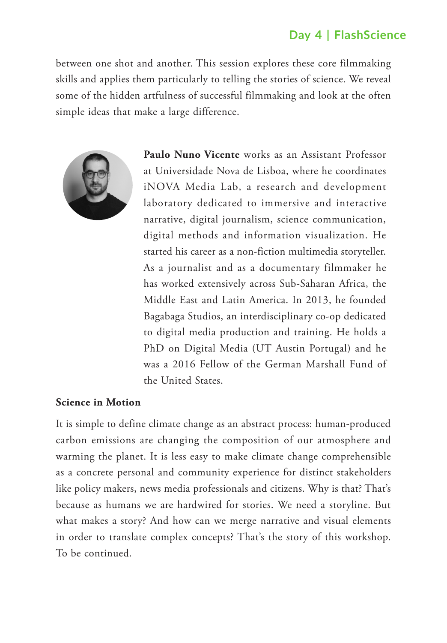between one shot and another. This session explores these core filmmaking skills and applies them particularly to telling the stories of science. We reveal some of the hidden artfulness of successful filmmaking and look at the often simple ideas that make a large difference.



**Paulo Nuno Vicente** works as an Assistant Professor at Universidade Nova de Lisboa, where he coordinates iNOVA Media Lab, a research and development laboratory dedicated to immersive and interactive narrative, digital journalism, science communication, digital methods and information visualization. He started his career as a non-fiction multimedia storyteller. As a journalist and as a documentary filmmaker he has worked extensively across Sub-Saharan Africa, the Middle East and Latin America. In 2013, he founded Bagabaga Studios, an interdisciplinary co-op dedicated to digital media production and training. He holds a PhD on Digital Media (UT Austin Portugal) and he was a 2016 Fellow of the German Marshall Fund of the United States.

### **Science in Motion**

It is simple to define climate change as an abstract process: human-produced carbon emissions are changing the composition of our atmosphere and warming the planet. It is less easy to make climate change comprehensible as a concrete personal and community experience for distinct stakeholders like policy makers, news media professionals and citizens. Why is that? That's because as humans we are hardwired for stories. We need a storyline. But what makes a story? And how can we merge narrative and visual elements in order to translate complex concepts? That's the story of this workshop. To be continued.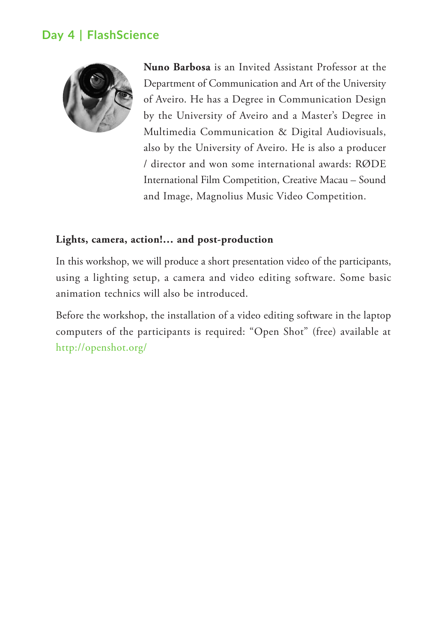

**Nuno Barbosa** is an Invited Assistant Professor at the Department of Communication and Art of the University of Aveiro. He has a Degree in Communication Design by the University of Aveiro and a Master's Degree in Multimedia Communication & Digital Audiovisuals, also by the University of Aveiro. He is also a producer / director and won some international awards: RØDE International Film Competition, Creative Macau – Sound and Image, Magnolius Music Video Competition.

### **Lights, camera, action!… and post-production**

In this workshop, we will produce a short presentation video of the participants, using a lighting setup, a camera and video editing software. Some basic animation technics will also be introduced.

Before the workshop, the installation of a video editing software in the laptop computers of the participants is required: "Open Shot" (free) available at <http://openshot.org/>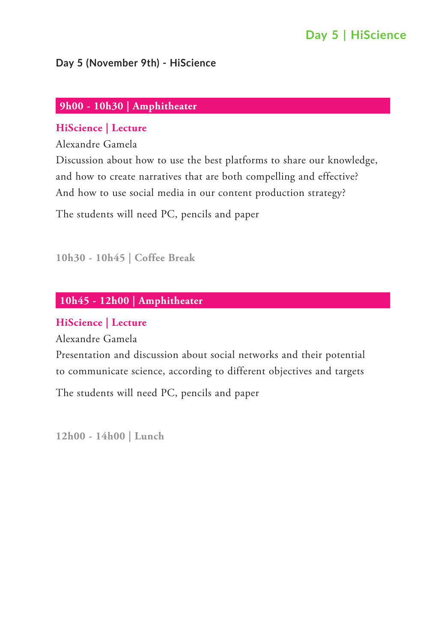# **Day 5 | HiScience**

### **Day 5 (November 9th) - HiScience**

### **9h00 - 10h30 | Amphitheater**

#### **HiScience | Lecture**

Alexandre Gamela

Discussion about how to use the best platforms to share our knowledge, and how to create narratives that are both compelling and effective? And how to use social media in our content production strategy?

The students will need PC, pencils and paper

**10h30 - 10h45 | Coffee Break**

## **10h45 - 12h00 | Amphitheater**

#### **HiScience | Lecture**

Alexandre Gamela

Presentation and discussion about social networks and their potential to communicate science, according to different objectives and targets

The students will need PC, pencils and paper

**12h00 - 14h00 | Lunch**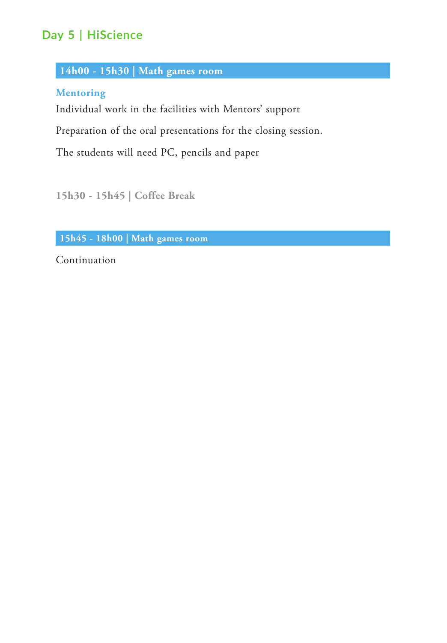# **Day 5 | HiScience**

### **14h00 - 15h30 | Math games room**

### **Mentoring**

Individual work in the facilities with Mentors' support

Preparation of the oral presentations for the closing session.

The students will need PC, pencils and paper

**15h30 - 15h45 | Coffee Break**

**15h45 - 18h00 | Math games room**

Continuation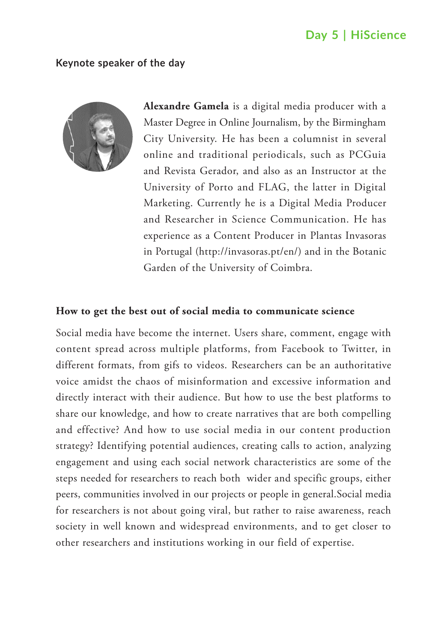## **Day 5 | HiScience**

#### **Keynote speaker of the day**



**Alexandre Gamela** is a digital media producer with a Master Degree in Online Journalism, by the Birmingham City University. He has been a columnist in several online and traditional periodicals, such as PCGuia and Revista Gerador, and also as an Instructor at the University of Porto and FLAG, the latter in Digital Marketing. Currently he is a Digital Media Producer and Researcher in Science Communication. He has experience as a Content Producer in Plantas Invasoras in Portugal (http://invasoras.pt/en/) and in the Botanic Garden of the University of Coimbra.

#### **How to get the best out of social media to communicate science**

Social media have become the internet. Users share, comment, engage with content spread across multiple platforms, from Facebook to Twitter, in different formats, from gifs to videos. Researchers can be an authoritative voice amidst the chaos of misinformation and excessive information and directly interact with their audience. But how to use the best platforms to share our knowledge, and how to create narratives that are both compelling and effective? And how to use social media in our content production strategy? Identifying potential audiences, creating calls to action, analyzing engagement and using each social network characteristics are some of the steps needed for researchers to reach both wider and specific groups, either peers, communities involved in our projects or people in general.Social media for researchers is not about going viral, but rather to raise awareness, reach society in well known and widespread environments, and to get closer to other researchers and institutions working in our field of expertise.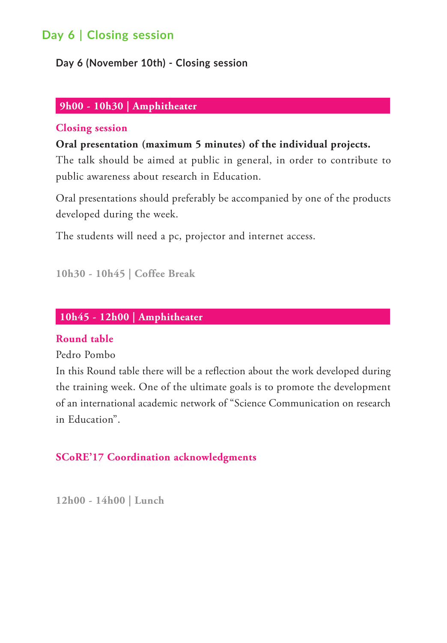# **Day 6 | Closing session**

**Day 6 (November 10th) - Closing session**

### **9h00 - 10h30 | Amphitheater**

#### **Closing session**

**Oral presentation (maximum 5 minutes) of the individual projects.**

The talk should be aimed at public in general, in order to contribute to public awareness about research in Education.

Oral presentations should preferably be accompanied by one of the products developed during the week.

The students will need a pc, projector and internet access.

**10h30 - 10h45 | Coffee Break**

### **10h45 - 12h00 | Amphitheater**

#### **Round table**

Pedro Pombo

In this Round table there will be a reflection about the work developed during the training week. One of the ultimate goals is to promote the development of an international academic network of "Science Communication on research in Education".

### **SCoRE'17 Coordination acknowledgments**

**12h00 - 14h00 | Lunch**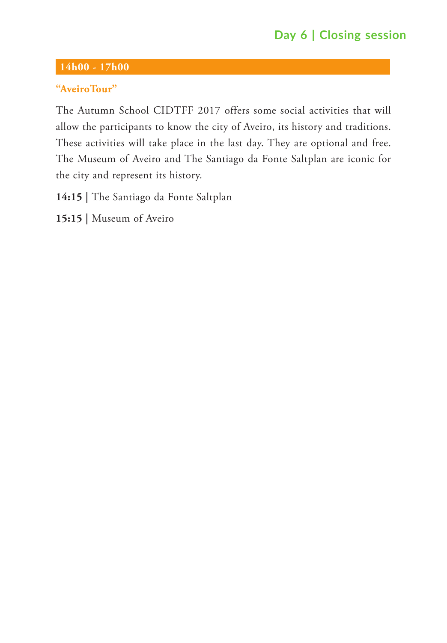# **Day 6 | Closing session**

### **14h00 - 17h00**

### **"AveiroTour"**

The Autumn School CIDTFF 2017 offers some social activities that will allow the participants to know the city of Aveiro, its history and traditions. These activities will take place in the last day. They are optional and free. The Museum of Aveiro and The Santiago da Fonte Saltplan are iconic for the city and represent its history.

**14:15 |** The Santiago da Fonte Saltplan

**15:15 |** Museum of Aveiro